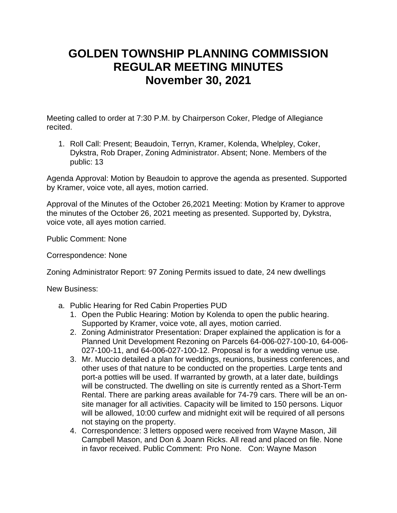## **GOLDEN TOWNSHIP PLANNING COMMISSION REGULAR MEETING MINUTES November 30, 2021**

Meeting called to order at 7:30 P.M. by Chairperson Coker, Pledge of Allegiance recited.

1. Roll Call: Present; Beaudoin, Terryn, Kramer, Kolenda, Whelpley, Coker, Dykstra, Rob Draper, Zoning Administrator. Absent; None. Members of the public: 13

Agenda Approval: Motion by Beaudoin to approve the agenda as presented. Supported by Kramer, voice vote, all ayes, motion carried.

Approval of the Minutes of the October 26,2021 Meeting: Motion by Kramer to approve the minutes of the October 26, 2021 meeting as presented. Supported by, Dykstra, voice vote, all ayes motion carried.

Public Comment: None

Correspondence: None

Zoning Administrator Report: 97 Zoning Permits issued to date, 24 new dwellings

New Business:

- a. Public Hearing for Red Cabin Properties PUD
	- 1. Open the Public Hearing: Motion by Kolenda to open the public hearing. Supported by Kramer, voice vote, all ayes, motion carried.
	- 2. Zoning Administrator Presentation: Draper explained the application is for a Planned Unit Development Rezoning on Parcels 64-006-027-100-10, 64-006- 027-100-11, and 64-006-027-100-12. Proposal is for a wedding venue use.
	- 3. Mr. Muccio detailed a plan for weddings, reunions, business conferences, and other uses of that nature to be conducted on the properties. Large tents and port-a potties will be used. If warranted by growth, at a later date, buildings will be constructed. The dwelling on site is currently rented as a Short-Term Rental. There are parking areas available for 74-79 cars. There will be an onsite manager for all activities. Capacity will be limited to 150 persons. Liquor will be allowed, 10:00 curfew and midnight exit will be required of all persons not staying on the property.
	- 4. Correspondence: 3 letters opposed were received from Wayne Mason, Jill Campbell Mason, and Don & Joann Ricks. All read and placed on file. None in favor received. Public Comment: Pro None. Con: Wayne Mason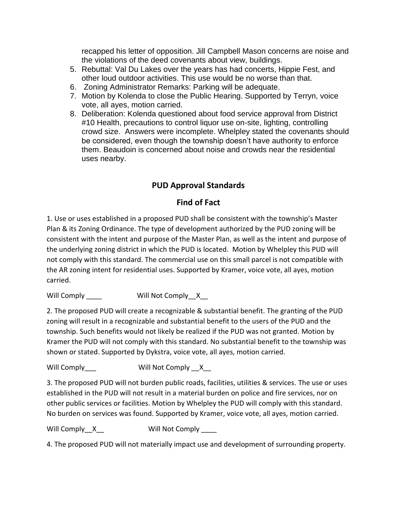recapped his letter of opposition. Jill Campbell Mason concerns are noise and the violations of the deed covenants about view, buildings.

- 5. Rebuttal: Val Du Lakes over the years has had concerts, Hippie Fest, and other loud outdoor activities. This use would be no worse than that.
- 6. Zoning Administrator Remarks: Parking will be adequate.
- 7. Motion by Kolenda to close the Public Hearing. Supported by Terryn, voice vote, all ayes, motion carried.
- 8. Deliberation: Kolenda questioned about food service approval from District #10 Health, precautions to control liquor use on-site, lighting, controlling crowd size. Answers were incomplete. Whelpley stated the covenants should be considered, even though the township doesn't have authority to enforce them. Beaudoin is concerned about noise and crowds near the residential uses nearby.

## **PUD Approval Standards**

## **Find of Fact**

1. Use or uses established in a proposed PUD shall be consistent with the township's Master Plan & its Zoning Ordinance. The type of development authorized by the PUD zoning will be consistent with the intent and purpose of the Master Plan, as well as the intent and purpose of the underlying zoning district in which the PUD is located. Motion by Whelpley this PUD will not comply with this standard. The commercial use on this small parcel is not compatible with the AR zoning intent for residential uses. Supported by Kramer, voice vote, all ayes, motion carried.

Will Comply \_\_\_\_ Will Not Comply \_X\_\_

2. The proposed PUD will create a recognizable & substantial benefit. The granting of the PUD zoning will result in a recognizable and substantial benefit to the users of the PUD and the township. Such benefits would not likely be realized if the PUD was not granted. Motion by Kramer the PUD will not comply with this standard. No substantial benefit to the township was shown or stated. Supported by Dykstra, voice vote, all ayes, motion carried.

Will Comply Will Not Comply X

3. The proposed PUD will not burden public roads, facilities, utilities & services. The use or uses established in the PUD will not result in a material burden on police and fire services, nor on other public services or facilities. Motion by Whelpley the PUD will comply with this standard. No burden on services was found. Supported by Kramer, voice vote, all ayes, motion carried.

Will Comply X Will Not Comply

4. The proposed PUD will not materially impact use and development of surrounding property.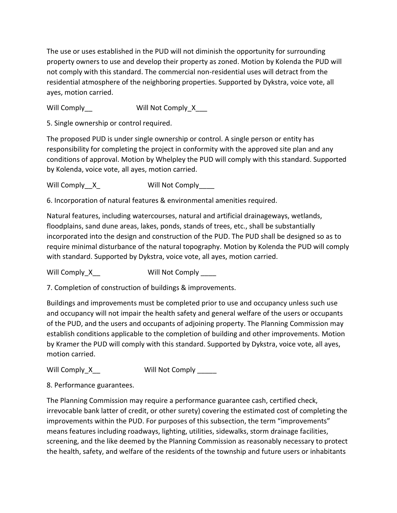The use or uses established in the PUD will not diminish the opportunity for surrounding property owners to use and develop their property as zoned. Motion by Kolenda the PUD will not comply with this standard. The commercial non-residential uses will detract from the residential atmosphere of the neighboring properties. Supported by Dykstra, voice vote, all ayes, motion carried.

Will Comply Will Not Comply X

5. Single ownership or control required.

The proposed PUD is under single ownership or control. A single person or entity has responsibility for completing the project in conformity with the approved site plan and any conditions of approval. Motion by Whelpley the PUD will comply with this standard. Supported by Kolenda, voice vote, all ayes, motion carried.

Will Comply X Will Not Comply

6. Incorporation of natural features & environmental amenities required.

Natural features, including watercourses, natural and artificial drainageways, wetlands, floodplains, sand dune areas, lakes, ponds, stands of trees, etc., shall be substantially incorporated into the design and construction of the PUD. The PUD shall be designed so as to require minimal disturbance of the natural topography. Motion by Kolenda the PUD will comply with standard. Supported by Dykstra, voice vote, all ayes, motion carried.

Will Comply X Will Not Comply

7. Completion of construction of buildings & improvements.

Buildings and improvements must be completed prior to use and occupancy unless such use and occupancy will not impair the health safety and general welfare of the users or occupants of the PUD, and the users and occupants of adjoining property. The Planning Commission may establish conditions applicable to the completion of building and other improvements. Motion by Kramer the PUD will comply with this standard. Supported by Dykstra, voice vote, all ayes, motion carried.

Will Comply\_X\_\_ Will Not Comply \_\_\_\_\_

8. Performance guarantees.

The Planning Commission may require a performance guarantee cash, certified check, irrevocable bank latter of credit, or other surety) covering the estimated cost of completing the improvements within the PUD. For purposes of this subsection, the term "improvements" means features including roadways, lighting, utilities, sidewalks, storm drainage facilities, screening, and the like deemed by the Planning Commission as reasonably necessary to protect the health, safety, and welfare of the residents of the township and future users or inhabitants